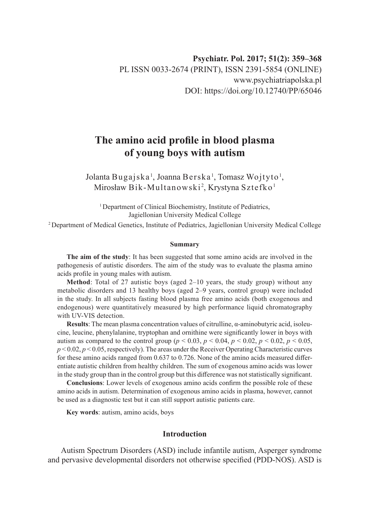# **The amino acid profile in blood plasma of young boys with autism**

Jolanta Bugajska', Joanna Berska', Tomasz Wojtyto', Mirosław Bik-Multanowski<sup>2</sup>, Krystyna Sztefko <del>'</del>

<sup>1</sup> Department of Clinical Biochemistry, Institute of Pediatrics, Jagiellonian University Medical College

2 Department of Medical Genetics, Institute of Pediatrics, Jagiellonian University Medical College

## **Summary**

**The aim of the study**: It has been suggested that some amino acids are involved in the pathogenesis of autistic disorders. The aim of the study was to evaluate the plasma amino acids profile in young males with autism.

**Method**: Total of 27 autistic boys (aged 2–10 years, the study group) without any metabolic disorders and 13 healthy boys (aged 2–9 years, control group) were included in the study. In all subjects fasting blood plasma free amino acids (both exogenous and endogenous) were quantitatively measured by high performance liquid chromatography with UV-VIS detection.

**Results**: The mean plasma concentration values of citrulline, α-aminobutyric acid, isoleucine, leucine, phenylalanine, tryptophan and ornithine were significantly lower in boys with autism as compared to the control group ( $p < 0.03$ ,  $p < 0.04$ ,  $p < 0.02$ ,  $p < 0.02$ ,  $p < 0.05$ ,  $p < 0.02$ ,  $p < 0.05$ , respectively). The areas under the Receiver Operating Characteristic curves for these amino acids ranged from 0.637 to 0.726. None of the amino acids measured differentiate autistic children from healthy children. The sum of exogenous amino acids was lower in the study group than in the control group but this difference was not statistically significant.

**Conclusions**: Lower levels of exogenous amino acids confirm the possible role of these amino acids in autism. Determination of exogenous amino acids in plasma, however, cannot be used as a diagnostic test but it can still support autistic patients care.

**Key words**: autism, amino acids, boys

# **Introduction**

Autism Spectrum Disorders (ASD) include infantile autism, Asperger syndrome and pervasive developmental disorders not otherwise specified (PDD-NOS). ASD is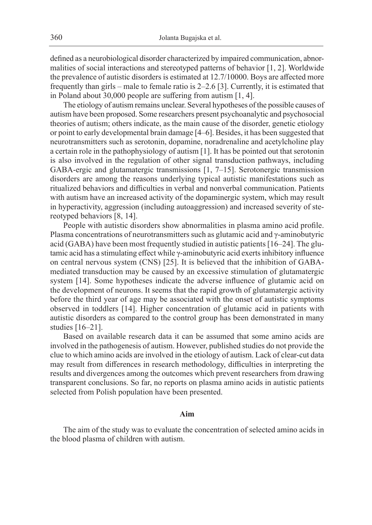defined as a neurobiological disorder characterized by impaired communication, abnormalities of social interactions and stereotyped patterns of behavior [1, 2]. Worldwide the prevalence of autistic disorders is estimated at 12.7/10000. Boys are affected more frequently than girls – male to female ratio is 2–2.6 [3]. Currently, it is estimated that in Poland about 30,000 people are suffering from autism [1, 4].

The etiology of autism remains unclear. Several hypotheses of the possible causes of autism have been proposed. Some researchers present psychoanalytic and psychosocial theories of autism; others indicate, as the main cause of the disorder, genetic etiology or point to early developmental brain damage [4–6]. Besides, it has been suggested that neurotransmitters such as serotonin, dopamine, noradrenaline and acetylcholine play a certain role in the pathophysiology of autism [1]. It has be pointed out that serotonin is also involved in the regulation of other signal transduction pathways, including GABA-ergic and glutamatergic transmissions [1, 7–15]. Serotonergic transmission disorders are among the reasons underlying typical autistic manifestations such as ritualized behaviors and difficulties in verbal and nonverbal communication. Patients with autism have an increased activity of the dopaminergic system, which may result in hyperactivity, aggression (including autoaggression) and increased severity of stereotyped behaviors [8, 14].

People with autistic disorders show abnormalities in plasma amino acid profile. Plasma concentrations of neurotransmitters such as glutamic acid and γ-aminobutyric acid (GABA) have been most frequently studied in autistic patients [16–24]. The glutamic acid has a stimulating effect while γ-aminobutyric acid exerts inhibitory influence on central nervous system (CNS) [25]. It is believed that the inhibition of GABAmediated transduction may be caused by an excessive stimulation of glutamatergic system [14]. Some hypotheses indicate the adverse influence of glutamic acid on the development of neurons. It seems that the rapid growth of glutamatergic activity before the third year of age may be associated with the onset of autistic symptoms observed in toddlers [14]. Higher concentration of glutamic acid in patients with autistic disorders as compared to the control group has been demonstrated in many studies [16–21].

Based on available research data it can be assumed that some amino acids are involved in the pathogenesis of autism. However, published studies do not provide the clue to which amino acids are involved in the etiology of autism. Lack of clear-cut data may result from differences in research methodology, difficulties in interpreting the results and divergences among the outcomes which prevent researchers from drawing transparent conclusions. So far, no reports on plasma amino acids in autistic patients selected from Polish population have been presented.

#### **Aim**

The aim of the study was to evaluate the concentration of selected amino acids in the blood plasma of children with autism.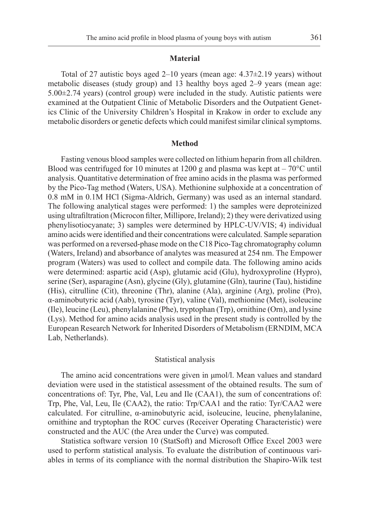### **Material**

Total of 27 autistic boys aged  $2-10$  years (mean age:  $4.37\pm2.19$  years) without metabolic diseases (study group) and 13 healthy boys aged 2–9 years (mean age:  $5.00\pm2.74$  years) (control group) were included in the study. Autistic patients were examined at the Outpatient Clinic of Metabolic Disorders and the Outpatient Genetics Clinic of the University Children's Hospital in Krakow in order to exclude any metabolic disorders or genetic defects which could manifest similar clinical symptoms.

#### **Method**

Fasting venous blood samples were collected on lithium heparin from all children. Blood was centrifuged for 10 minutes at 1200 g and plasma was kept at  $-70^{\circ}$ C until analysis. Quantitative determination of free amino acids in the plasma was performed by the Pico-Tag method (Waters, USA). Methionine sulphoxide at a concentration of 0.8 mM in 0.1M HCl (Sigma-Aldrich, Germany) was used as an internal standard. The following analytical stages were performed: 1) the samples were deproteinized using ultrafiltration (Microcon filter, Millipore, Ireland); 2) they were derivatized using phenylisotiocyanate; 3) samples were determined by HPLC-UV/VIS; 4) individual amino acids were identified and their concentrations were calculated. Sample separation was performed on a reversed-phase mode on the C18 Pico-Tag chromatography column (Waters, Ireland) and absorbance of analytes was measured at 254 nm. The Empower program (Waters) was used to collect and compile data. The following amino acids were determined: aspartic acid (Asp), glutamic acid (Glu), hydroxyproline (Hypro), serine (Ser), asparagine (Asn), glycine (Gly), glutamine (Gln), taurine (Tau), histidine (His), citrulline (Cit), threonine (Thr), alanine (Ala), arginine (Arg), proline (Pro), α-aminobutyric acid (Aab), tyrosine (Tyr), valine (Val), methionine (Met), isoleucine (Ile), leucine (Leu), phenylalanine (Phe), tryptophan (Trp), ornithine (Orn), and lysine (Lys). Method for amino acids analysis used in the present study is controlled by the European Research Network for Inherited Disorders of Metabolism (ERNDIM, MCA Lab, Netherlands).

## Statistical analysis

The amino acid concentrations were given in μmol/l. Mean values and standard deviation were used in the statistical assessment of the obtained results. The sum of concentrations of: Tyr, Phe, Val, Leu and Ile (CAA1), the sum of concentrations of: Trp, Phe, Val, Leu, Ile (CAA2), the ratio: Trp/CAA1 and the ratio: Tyr/CAA2 were calculated. For citrulline, α-aminobutyric acid, isoleucine, leucine, phenylalanine, ornithine and tryptophan the ROC curves (Receiver Operating Characteristic) were constructed and the AUC (the Area under the Curve) was computed.

Statistica software version 10 (StatSoft) and Microsoft Office Excel 2003 were used to perform statistical analysis. To evaluate the distribution of continuous variables in terms of its compliance with the normal distribution the Shapiro-Wilk test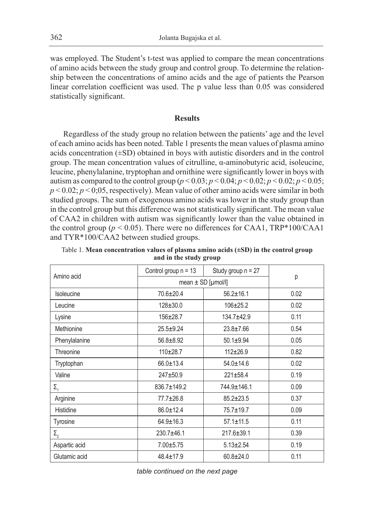was employed. The Student's t-test was applied to compare the mean concentrations of amino acids between the study group and control group. To determine the relationship between the concentrations of amino acids and the age of patients the Pearson linear correlation coefficient was used. The p value less than 0.05 was considered statistically significant.

# **Results**

Regardless of the study group no relation between the patients' age and the level of each amino acids has been noted. Table 1 presents the mean values of plasma amino acids concentration (±SD) obtained in boys with autistic disorders and in the control group. The mean concentration values of citrulline, α-aminobutyric acid, isoleucine, leucine, phenylalanine, tryptophan and ornithine were significantly lower in boys with autism as compared to the control group ( $p < 0.03$ ;  $p < 0.04$ ;  $p < 0.02$ ;  $p < 0.02$ ;  $p < 0.05$ ;  $p < 0.02$ ;  $p < 0.05$ , respectively). Mean value of other amino acids were similar in both studied groups. The sum of exogenous amino acids was lower in the study group than in the control group but this difference was not statistically significant. The mean value of CAA2 in children with autism was significantly lower than the value obtained in the control group ( $p < 0.05$ ). There were no differences for CAA1, TRP\*100/CAA1 and TYR\*100/CAA2 between studied groups.

| Amino acid    | Control group $n = 13$ | Study group $n = 27$ |      |
|---------------|------------------------|----------------------|------|
|               | mean $\pm$ SD [µmol/l] |                      | p    |
| Isoleucine    | $70.6 \pm 20.4$        | $56.2 \pm 16.1$      | 0.02 |
| Leucine       | $128 \pm 30.0$         | $106 + 25.2$         | 0.02 |
| Lysine        | $156 \pm 28.7$         | 134.7±42.9           | 0.11 |
| Methionine    | $25.5 + 9.24$          | $23.8 \pm 7.66$      | 0.54 |
| Phenylalanine | $56.8 + 8.92$          | $50.1 \pm 9.94$      | 0.05 |
| Threonine     | $110+28.7$             | $112 + 26.9$         | 0.82 |
| Tryptophan    | $66.0 \pm 13.4$        | $54.0 \pm 14.6$      | 0.02 |
| Valine        | $247 + 50.9$           | $221 \pm 58.4$       | 0.19 |
| $\Sigma_{1}$  | 836.7±149.2            | 744.9±146.1          | 0.09 |
| Arginine      | 77.7±26.8              | $85.2 \pm 23.5$      | 0.37 |
| Histidine     | $86.0 \pm 12.4$        | 75.7±19.7            | 0.09 |
| Tyrosine      | $64.9 \pm 16.3$        | $57.1 \pm 11.5$      | 0.11 |
| $\Sigma_{2}$  | 230.7±46.1             | $217.6 \pm 39.1$     | 0.39 |
| Aspartic acid | $7.00 \pm 5.75$        | $5.13 \pm 2.54$      | 0.19 |
| Glutamic acid | $48.4 \pm 17.9$        | $60.8 \pm 24.0$      | 0.11 |

Table 1. **Mean concentration values of plasma amino acids (±SD) in the control group and in the study group**

*table continued on the next page*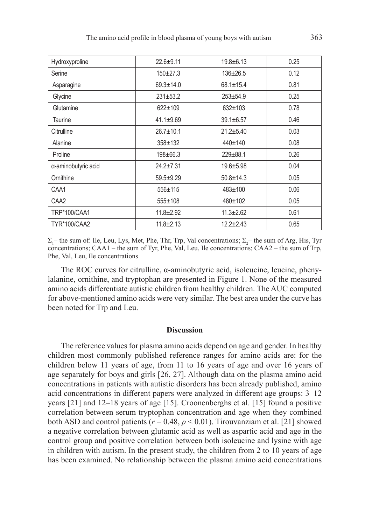| Hydroxyproline      | $22.6 + 9.11$   | $19.8 \pm 6.13$ | 0.25 |
|---------------------|-----------------|-----------------|------|
| Serine              | $150+27.3$      | $136 \pm 26.5$  | 0.12 |
| Asparagine          | $69.3 \pm 14.0$ | $68.1 \pm 15.4$ | 0.81 |
| Glycine             | $231 \pm 53.2$  | $253 + 54.9$    | 0.25 |
| Glutamine           | $622 \pm 109$   | $632 + 103$     | 0.78 |
| Taurine             | $41.1 \pm 9.69$ | $39.1 \pm 6.57$ | 0.46 |
| Citrulline          | $26.7 \pm 10.1$ | $21.2 + 5.40$   | 0.03 |
| Alanine             | $358 + 132$     | 440±140         | 0.08 |
| Proline             | 198±66.3        | $229 \pm 88.1$  | 0.26 |
| a-aminobutyric acid | $24.2 + 7.31$   | $19.6 + 5.98$   | 0.04 |
| Ornithine           | $59.5 + 9.29$   | $50.8 \pm 14.3$ | 0.05 |
| CAA1                | $556 \pm 115$   | $483 \pm 100$   | 0.06 |
| CAA <sub>2</sub>    | $555 + 108$     | 480±102         | 0.05 |
| <b>TRP*100/CAA1</b> | $11.8 \pm 2.92$ | $11.3 \pm 2.62$ | 0.61 |
| <b>TYR*100/CAA2</b> | $11.8 \pm 2.13$ | $12.2 + 2.43$   | 0.65 |

 $\Sigma_1$ – the sum of: Ile, Leu, Lys, Met, Phe, Thr, Trp, Val concentrations;  $\Sigma_2$ – the sum of Arg, His, Tyr concentrations; CAA1 – the sum of Tyr, Phe, Val, Leu, Ile concentrations; CAA2 – the sum of Trp, Phe, Val, Leu, Ile concentrations

The ROC curves for citrulline, α-aminobutyric acid, isoleucine, leucine, phenylalanine, ornithine, and tryptophan are presented in Figure 1. None of the measured amino acids differentiate autistic children from healthy children. The AUC computed for above-mentioned amino acids were very similar. The best area under the curve has been noted for Trp and Leu.

#### **Discussion**

The reference values for plasma amino acids depend on age and gender. In healthy children most commonly published reference ranges for amino acids are: for the children below 11 years of age, from 11 to 16 years of age and over 16 years of age separately for boys and girls [26, 27]. Although data on the plasma amino acid concentrations in patients with autistic disorders has been already published, amino acid concentrations in different papers were analyzed in different age groups: 3–12 years [21] and 12–18 years of age [15]. Croonenberghs et al. [15] found a positive correlation between serum tryptophan concentration and age when they combined both ASD and control patients ( $r = 0.48$ ,  $p < 0.01$ ). Tirouvanziam et al. [21] showed a negative correlation between glutamic acid as well as aspartic acid and age in the control group and positive correlation between both isoleucine and lysine with age in children with autism. In the present study, the children from 2 to 10 years of age has been examined. No relationship between the plasma amino acid concentrations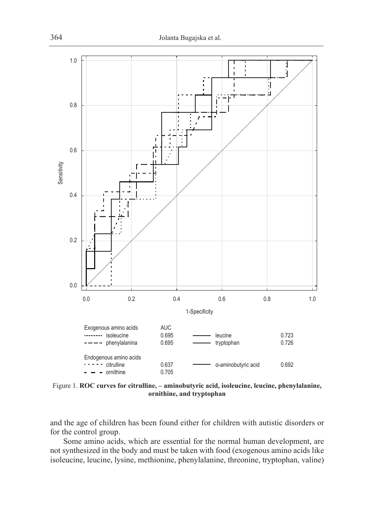

Figure 1. **ROC curves for citrulline, – aminobutyric acid, isoleucine, leucine, phenylalanine, ornithine, and tryptophan**

and the age of children has been found either for children with autistic disorders or for the control group.

Some amino acids, which are essential for the normal human development, are not synthesized in the body and must be taken with food (exogenous amino acids like isoleucine, leucine, lysine, methionine, phenylalanine, threonine, tryptophan, valine)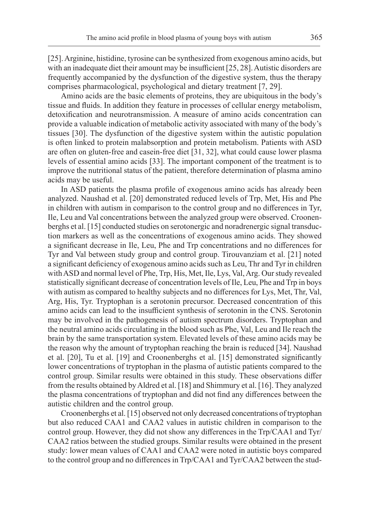[25]. Arginine, histidine, tyrosine can be synthesized from exogenous amino acids, but with an inadequate diet their amount may be insufficient [25, 28]. Autistic disorders are frequently accompanied by the dysfunction of the digestive system, thus the therapy comprises pharmacological, psychological and dietary treatment [7, 29].

Amino acids are the basic elements of proteins, they are ubiquitous in the body's tissue and fluids. In addition they feature in processes of cellular energy metabolism, detoxification and neurotransmission. A measure of amino acids concentration can provide a valuable indication of metabolic activity associated with many of the body's tissues [30]. The dysfunction of the digestive system within the autistic population is often linked to protein malabsorption and protein metabolism. Patients with ASD are often on gluten-free and casein-free diet [31, 32], what could cause lower plasma levels of essential amino acids [33]. The important component of the treatment is to improve the nutritional status of the patient, therefore determination of plasma amino acids may be useful.

In ASD patients the plasma profile of exogenous amino acids has already been analyzed. Naushad et al. [20] demonstrated reduced levels of Trp, Met, His and Phe in children with autism in comparison to the control group and no differences in Tyr, Ile, Leu and Val concentrations between the analyzed group were observed. Croonenberghs et al. [15] conducted studies on serotonergic and noradrenergic signal transduction markers as well as the concentrations of exogenous amino acids. They showed a significant decrease in Ile, Leu, Phe and Trp concentrations and no differences for Tyr and Val between study group and control group. Tirouvanziam et al. [21] noted a significant deficiency of exogenous amino acids such as Leu, Thr and Tyr in children with ASD and normal level of Phe, Trp, His, Met, Ile, Lys, Val, Arg. Our study revealed statistically significant decrease of concentration levels of Ile, Leu, Phe and Trp in boys with autism as compared to healthy subjects and no differences for Lys, Met, Thr, Val, Arg, His, Tyr. Tryptophan is a serotonin precursor. Decreased concentration of this amino acids can lead to the insufficient synthesis of serotonin in the CNS. Serotonin may be involved in the pathogenesis of autism spectrum disorders. Tryptophan and the neutral amino acids circulating in the blood such as Phe, Val, Leu and Ile reach the brain by the same transportation system. Elevated levels of these amino acids may be the reason why the amount of tryptophan reaching the brain is reduced [34]. Naushad et al. [20], Tu et al. [19] and Croonenberghs et al. [15] demonstrated significantly lower concentrations of tryptophan in the plasma of autistic patients compared to the control group. Similar results were obtained in this study. These observations differ from the results obtained by Aldred et al. [18] and Shimmury et al. [16]. They analyzed the plasma concentrations of tryptophan and did not find any differences between the autistic children and the control group.

Croonenberghs et al. [15] observed not only decreased concentrations of tryptophan but also reduced CAA1 and CAA2 values in autistic children in comparison to the control group. However, they did not show any differences in the Trp/CAA1 and Tyr/ CAA2 ratios between the studied groups. Similar results were obtained in the present study: lower mean values of CAA1 and CAA2 were noted in autistic boys compared to the control group and no differences in Trp/CAA1 and Tyr/CAA2 between the stud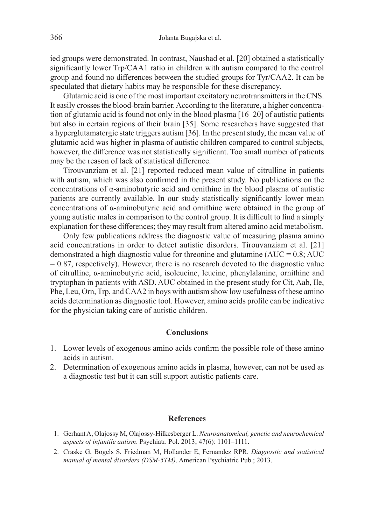ied groups were demonstrated. In contrast, Naushad et al. [20] obtained a statistically significantly lower Trp/CAA1 ratio in children with autism compared to the control group and found no differences between the studied groups for Tyr/CAA2. It can be speculated that dietary habits may be responsible for these discrepancy.

Glutamic acid is one of the most important excitatory neurotransmitters in the CNS. It easily crosses the blood-brain barrier. According to the literature, a higher concentration of glutamic acid is found not only in the blood plasma [16–20] of autistic patients but also in certain regions of their brain [35]. Some researchers have suggested that a hyperglutamatergic state triggers autism [36]. In the present study, the mean value of glutamic acid was higher in plasma of autistic children compared to control subjects, however, the difference was not statistically significant. Too small number of patients may be the reason of lack of statistical difference.

Tirouvanziam et al. [21] reported reduced mean value of citrulline in patients with autism, which was also confirmed in the present study. No publications on the concentrations of α-aminobutyric acid and ornithine in the blood plasma of autistic patients are currently available. In our study statistically significantly lower mean concentrations of α-aminobutyric acid and ornithine were obtained in the group of young autistic males in comparison to the control group. It is difficult to find a simply explanation for these differences; they may result from altered amino acid metabolism.

Only few publications address the diagnostic value of measuring plasma amino acid concentrations in order to detect autistic disorders. Tirouvanziam et al. [21] demonstrated a high diagnostic value for threonine and glutamine  $(AUC = 0.8; AUC)$  $= 0.87$ , respectively). However, there is no research devoted to the diagnostic value of citrulline, α-aminobutyric acid, isoleucine, leucine, phenylalanine, ornithine and tryptophan in patients with ASD. AUC obtained in the present study for Cit, Aab, Ile, Phe, Leu, Orn, Trp, and CAA2 in boys with autism show low usefulness of these amino acids determination as diagnostic tool. However, amino acids profile can be indicative for the physician taking care of autistic children.

# **Conclusions**

- 1. Lower levels of exogenous amino acids confirm the possible role of these amino acids in autism.
- 2. Determination of exogenous amino acids in plasma, however, can not be used as a diagnostic test but it can still support autistic patients care.

## **References**

- 1. Gerhant A, Olajossy M, Olajossy-Hilkesberger L. *Neuroanatomical, genetic and neurochemical aspects of infantile autism*. Psychiatr. Pol. 2013; 47(6): 1101–1111.
- 2. Craske G, Bogels S, Friedman M, Hollander E, Fernandez RPR. *Diagnostic and statistical manual of mental disorders (DSM-5TM)*. American Psychiatric Pub.; 2013.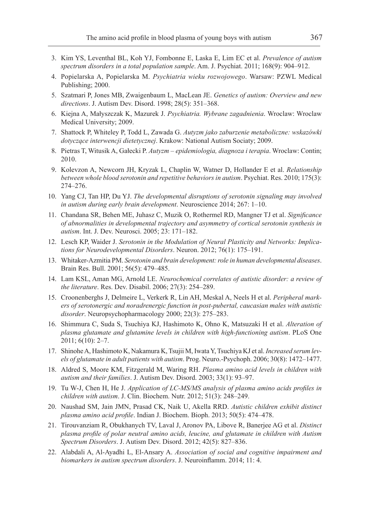- 3. Kim YS, Leventhal BL, Koh YJ, Fombonne E, Laska E, Lim EC et al. *Prevalence of autism spectrum disorders in a total population sample*. Am. J. Psychiat. 2011; 168(9): 904–912.
- 4. Popielarska A, Popielarska M. *Psychiatria wieku rozwojowego*. Warsaw: PZWL Medical Publishing; 2000.
- 5. Szatmari P, Jones MB, Zwaigenbaum L, MacLean JE. *Genetics of autism: Overview and new directions*. J. Autism Dev. Disord. 1998; 28(5): 351–368.
- 6. Kiejna A, Małyszczak K, Mazurek J. *Psychiatria. Wybrane zagadnienia*. Wroclaw: Wroclaw Medical University; 2009.
- 7. Shattock P, Whiteley P, Todd L, Zawada G. *Autyzm jako zaburzenie metaboliczne: wskazówki dotyczące interwencji dietetycznej*. Krakow: National Autism Sociaty; 2009.
- 8. Pietras T, Witusik A, Gałecki P. *Autyzm epidemiologia, diagnoza i terapia*. Wroclaw: Contin; 2010.
- 9. Kolevzon A, Newcorn JH, Kryzak L, Chaplin W, Watner D, Hollander E et al. *Relationship between whole blood serotonin and repetitive behaviors in autism*. Psychiat. Res. 2010; 175(3): 274–276.
- 10. Yang CJ, Tan HP, Du YJ. *The developmental disruptions of serotonin signaling may involved in autism during early brain development*. Neuroscience 2014; 267: 1–10.
- 11. Chandana SR, Behen ME, Juhasz C, Muzik O, Rothermel RD, Mangner TJ et al. *Significance of abnormalities in developmental trajectory and asymmetry of cortical serotonin synthesis in autism*. Int. J. Dev. Neurosci. 2005; 23: 171–182.
- 12. Lesch KP, Waider J. *Serotonin in the Modulation of Neural Plasticity and Networks: Implications for Neurodevelopmental Disorders*. Neuron. 2012; 76(1): 175–191.
- 13. Whitaker-Azmitia PM. *Serotonin and brain development: role in human developmental diseases*. Brain Res. Bull. 2001; 56(5): 479–485.
- 14. Lam KSL, Aman MG, Arnold LE. *Neurochemical correlates of autistic disorder: a review of the literature*. Res. Dev. Disabil. 2006; 27(3): 254–289.
- 15. Croonenberghs J, Delmeire L, Verkerk R, Lin AH, Meskal A, Neels H et al. *Peripheral markers of serotonergic and noradrenergic function in post-pubertal, caucasian males with autistic disorder*. Neuropsychopharmacology 2000; 22(3): 275–283.
- 16. Shimmura C, Suda S, Tsuchiya KJ, Hashimoto K, Ohno K, Matsuzaki H et al. *Alteration of plasma glutamate and glutamine levels in children with high-functioning autism*. PLoS One 2011; 6(10): 2–7.
- 17. Shinohe A, Hashimoto K, Nakamura K, Tsujii M, Iwata Y, Tsuchiya KJ et al. *Increased serum levels of glutamate in adult patients with autism*. Prog. Neuro.-Psychoph. 2006; 30(8): 1472–1477.
- 18. Aldred S, Moore KM, Fitzgerald M, Waring RH. *Plasma amino acid levels in children with autism and their families*. J. Autism Dev. Disord. 2003; 33(1): 93–97.
- 19. Tu W-J, Chen H, He J. *Application of LC-MS/MS analysis of plasma amino acids profiles in children with autism*. J. Clin. Biochem. Nutr. 2012; 51(3): 248–249.
- 20. Naushad SM, Jain JMN, Prasad CK, Naik U, Akella RRD. *Autistic children exhibit distinct plasma amino acid profile*. Indian J. Biochem. Bioph. 2013; 50(5): 474–478.
- 21. Tirouvanziam R, Obukhanych TV, Laval J, Aronov PA, Libove R, Banerjee AG et al. *Distinct plasma profile of polar neutral amino acids, leucine, and glutamate in children with Autism Spectrum Disorders*. J. Autism Dev. Disord. 2012; 42(5): 827–836.
- 22. Alabdali A, Al-Ayadhi L, El-Ansary A. *Association of social and cognitive impairment and biomarkers in autism spectrum disorders*. J. Neuroinflamm. 2014; 11: 4.